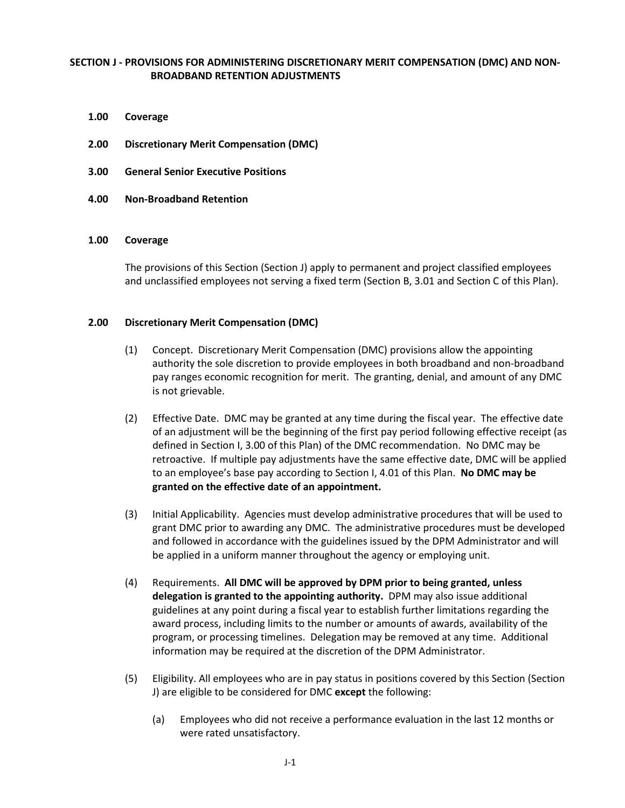# **SECTION J - PROVISIONS FOR ADMINISTERING DISCRETIONARY MERIT COMPENSATION (DMC) AND NON-BROADBAND RETENTION ADJUSTMENTS**

- **1.00 Coverage**
- **2.00 Discretionary Merit Compensation (DMC)**
- **3.00 General Senior Executive Positions**
- **4.00 Non-Broadband Retention**

#### **1.00 Coverage**

The provisions of this Section (Section J) apply to permanent and project classified employees and unclassified employees not serving a fixed term (Section B, 3.01 and Section C of this Plan).

### **2.00 Discretionary Merit Compensation (DMC)**

- (1) Concept. Discretionary Merit Compensation (DMC) provisions allow the appointing authority the sole discretion to provide employees in both broadband and non-broadband pay ranges economic recognition for merit. The granting, denial, and amount of any DMC is not grievable.
- (2) Effective Date. DMC may be granted at any time during the fiscal year. The effective date of an adjustment will be the beginning of the first pay period following effective receipt (as defined in Section I, 3.00 of this Plan) of the DMC recommendation. No DMC may be retroactive. If multiple pay adjustments have the same effective date, DMC will be applied to an employee's base pay according to Section I, 4.01 of this Plan. **No DMC may be granted on the effective date of an appointment.**
- (3) Initial Applicability. Agencies must develop administrative procedures that will be used to grant DMC prior to awarding any DMC. The administrative procedures must be developed and followed in accordance with the guidelines issued by the DPM Administrator and will be applied in a uniform manner throughout the agency or employing unit.
- (4) Requirements. **All DMC will be approved by DPM prior to being granted, unless delegation is granted to the appointing authority.** DPM may also issue additional guidelines at any point during a fiscal year to establish further limitations regarding the award process, including limits to the number or amounts of awards, availability of the program, or processing timelines. Delegation may be removed at any time. Additional information may be required at the discretion of the DPM Administrator.
- (5) Eligibility. All employees who are in pay status in positions covered by this Section (Section J) are eligible to be considered for DMC **except** the following:
	- (a) Employees who did not receive a performance evaluation in the last 12 months or were rated unsatisfactory.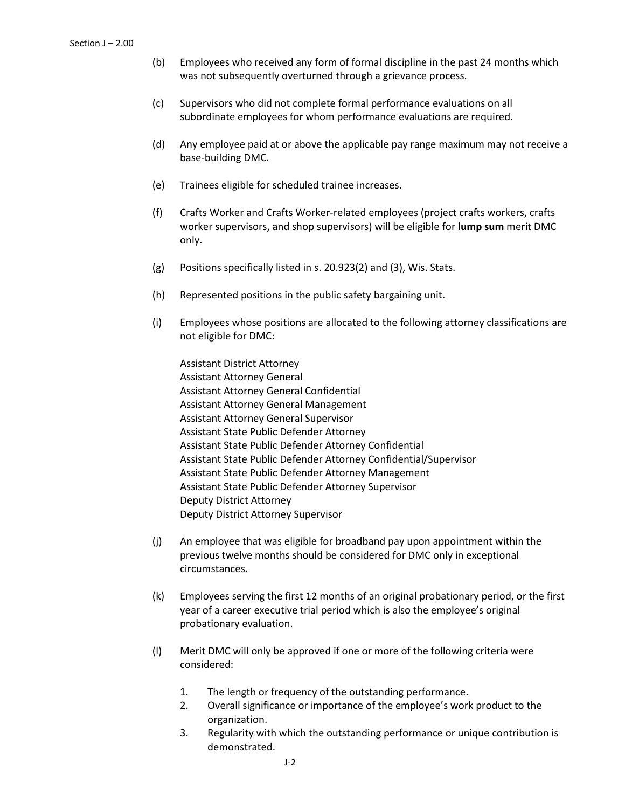- (b) Employees who received any form of formal discipline in the past 24 months which was not subsequently overturned through a grievance process.
- (c) Supervisors who did not complete formal performance evaluations on all subordinate employees for whom performance evaluations are required.
- (d) Any employee paid at or above the applicable pay range maximum may not receive a base-building DMC.
- (e) Trainees eligible for scheduled trainee increases.
- (f) Crafts Worker and Crafts Worker-related employees (project crafts workers, crafts worker supervisors, and shop supervisors) will be eligible for **lump sum** merit DMC only.
- (g) Positions specifically listed in s. 20.923(2) and (3), Wis. Stats.
- (h) Represented positions in the public safety bargaining unit.
- (i) Employees whose positions are allocated to the following attorney classifications are not eligible for DMC:

Assistant District Attorney Assistant Attorney General Assistant Attorney General Confidential Assistant Attorney General Management Assistant Attorney General Supervisor Assistant State Public Defender Attorney Assistant State Public Defender Attorney Confidential Assistant State Public Defender Attorney Confidential/Supervisor Assistant State Public Defender Attorney Management Assistant State Public Defender Attorney Supervisor Deputy District Attorney Deputy District Attorney Supervisor

- (j) An employee that was eligible for broadband pay upon appointment within the previous twelve months should be considered for DMC only in exceptional circumstances.
- (k) Employees serving the first 12 months of an original probationary period, or the first year of a career executive trial period which is also the employee's original probationary evaluation.
- (l) Merit DMC will only be approved if one or more of the following criteria were considered:
	- 1. The length or frequency of the outstanding performance.
	- 2. Overall significance or importance of the employee's work product to the organization.
	- 3. Regularity with which the outstanding performance or unique contribution is demonstrated.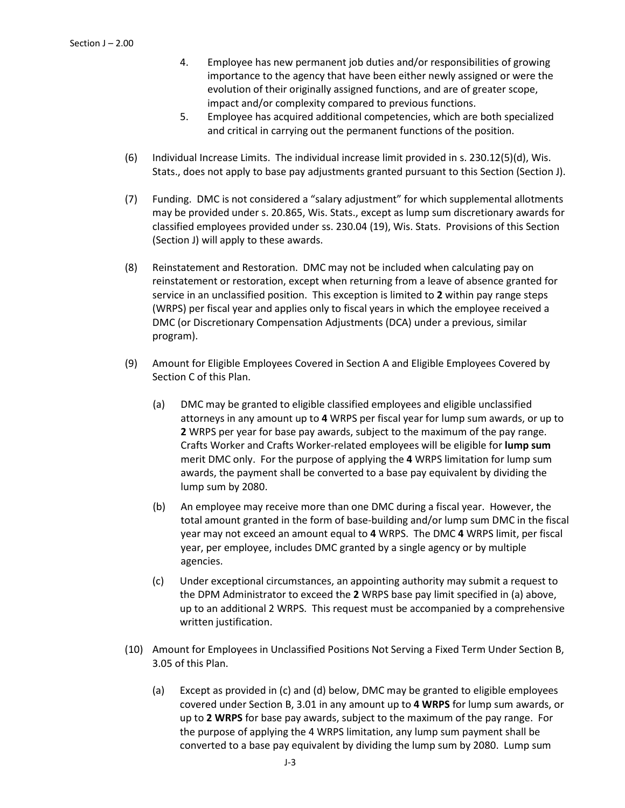- 4. Employee has new permanent job duties and/or responsibilities of growing importance to the agency that have been either newly assigned or were the evolution of their originally assigned functions, and are of greater scope, impact and/or complexity compared to previous functions.
- 5. Employee has acquired additional competencies, which are both specialized and critical in carrying out the permanent functions of the position.
- (6) Individual Increase Limits. The individual increase limit provided in s. 230.12(5)(d), Wis. Stats., does not apply to base pay adjustments granted pursuant to this Section (Section J).
- (7) Funding. DMC is not considered a "salary adjustment" for which supplemental allotments may be provided under s. 20.865, Wis. Stats., except as lump sum discretionary awards for classified employees provided under ss. 230.04 (19), Wis. Stats. Provisions of this Section (Section J) will apply to these awards.
- (8) Reinstatement and Restoration. DMC may not be included when calculating pay on reinstatement or restoration, except when returning from a leave of absence granted for service in an unclassified position. This exception is limited to **2** within pay range steps (WRPS) per fiscal year and applies only to fiscal years in which the employee received a DMC (or Discretionary Compensation Adjustments (DCA) under a previous, similar program).
- (9) Amount for Eligible Employees Covered in Section A and Eligible Employees Covered by Section C of this Plan.
	- (a) DMC may be granted to eligible classified employees and eligible unclassified attorneys in any amount up to **4** WRPS per fiscal year for lump sum awards, or up to **2** WRPS per year for base pay awards, subject to the maximum of the pay range. Crafts Worker and Crafts Worker-related employees will be eligible for **lump sum** merit DMC only. For the purpose of applying the **4** WRPS limitation for lump sum awards, the payment shall be converted to a base pay equivalent by dividing the lump sum by 2080.
	- (b) An employee may receive more than one DMC during a fiscal year. However, the total amount granted in the form of base-building and/or lump sum DMC in the fiscal year may not exceed an amount equal to **4** WRPS. The DMC **4** WRPS limit, per fiscal year, per employee, includes DMC granted by a single agency or by multiple agencies.
	- (c) Under exceptional circumstances, an appointing authority may submit a request to the DPM Administrator to exceed the **2** WRPS base pay limit specified in (a) above, up to an additional 2 WRPS. This request must be accompanied by a comprehensive written justification.
- (10) Amount for Employees in Unclassified Positions Not Serving a Fixed Term Under Section B, 3.05 of this Plan.
	- (a) Except as provided in (c) and (d) below, DMC may be granted to eligible employees covered under Section B, 3.01 in any amount up to **4 WRPS** for lump sum awards, or up to **2 WRPS** for base pay awards, subject to the maximum of the pay range. For the purpose of applying the 4 WRPS limitation, any lump sum payment shall be converted to a base pay equivalent by dividing the lump sum by 2080. Lump sum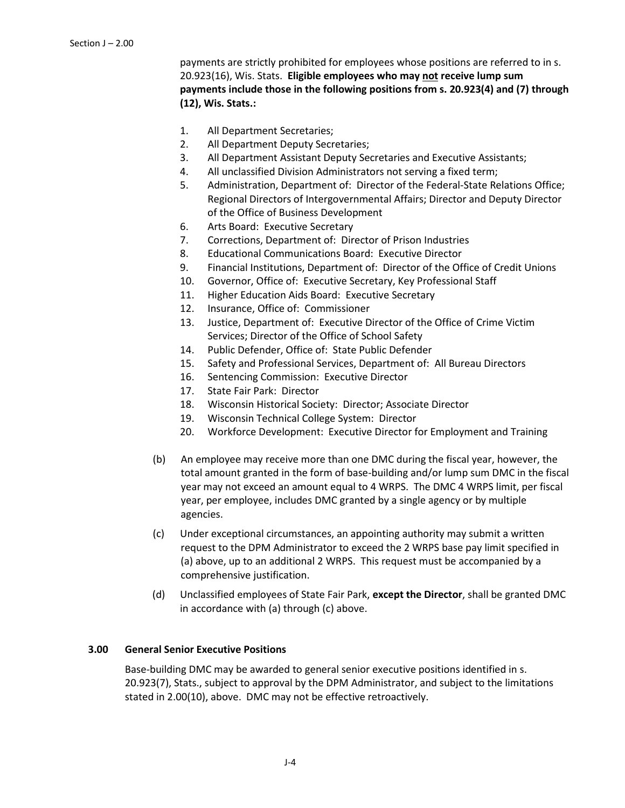payments are strictly prohibited for employees whose positions are referred to in s. 20.923(16), Wis. Stats. **Eligible employees who may not receive lump sum payments include those in the following positions from s. 20.923(4) and (7) through (12), Wis. Stats.:**

- 1. All Department Secretaries;
- 2. All Department Deputy Secretaries;
- 3. All Department Assistant Deputy Secretaries and Executive Assistants;
- 4. All unclassified Division Administrators not serving a fixed term;
- 5. Administration, Department of: Director of the Federal-State Relations Office; Regional Directors of Intergovernmental Affairs; Director and Deputy Director of the Office of Business Development
- 6. Arts Board: Executive Secretary
- 7. Corrections, Department of: Director of Prison Industries
- 8. Educational Communications Board: Executive Director
- 9. Financial Institutions, Department of: Director of the Office of Credit Unions
- 10. Governor, Office of: Executive Secretary, Key Professional Staff
- 11. Higher Education Aids Board: Executive Secretary
- 12. Insurance, Office of: Commissioner
- 13. Justice, Department of: Executive Director of the Office of Crime Victim Services; Director of the Office of School Safety
- 14. Public Defender, Office of: State Public Defender
- 15. Safety and Professional Services, Department of: All Bureau Directors
- 16. Sentencing Commission: Executive Director
- 17. State Fair Park: Director
- 18. Wisconsin Historical Society: Director; Associate Director
- 19. Wisconsin Technical College System: Director
- 20. Workforce Development: Executive Director for Employment and Training
- (b) An employee may receive more than one DMC during the fiscal year, however, the total amount granted in the form of base-building and/or lump sum DMC in the fiscal year may not exceed an amount equal to 4 WRPS. The DMC 4 WRPS limit, per fiscal year, per employee, includes DMC granted by a single agency or by multiple agencies.
- (c) Under exceptional circumstances, an appointing authority may submit a written request to the DPM Administrator to exceed the 2 WRPS base pay limit specified in (a) above, up to an additional 2 WRPS. This request must be accompanied by a comprehensive justification.
- (d) Unclassified employees of State Fair Park, **except the Director**, shall be granted DMC in accordance with (a) through (c) above.

### **3.00 General Senior Executive Positions**

Base-building DMC may be awarded to general senior executive positions identified in s. 20.923(7), Stats., subject to approval by the DPM Administrator, and subject to the limitations stated in 2.00(10), above. DMC may not be effective retroactively.